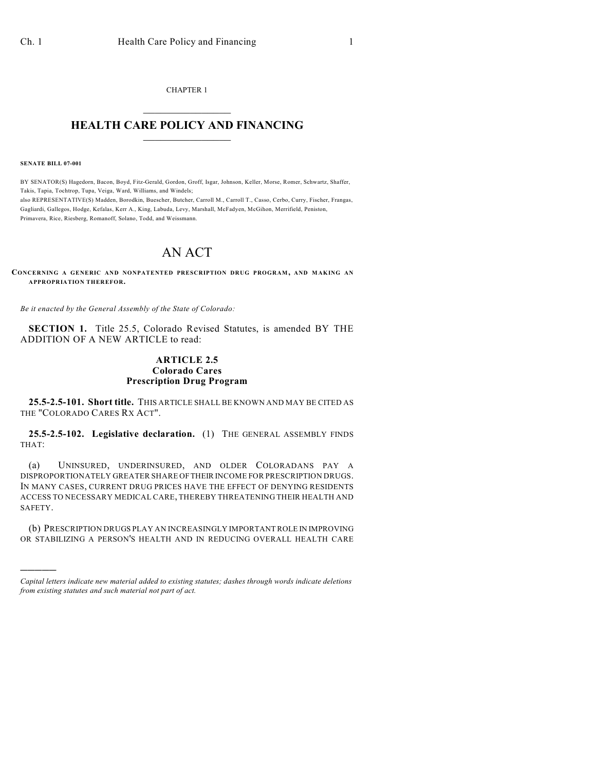CHAPTER 1  $\overline{\phantom{a}}$  . The set of the set of the set of the set of the set of the set of the set of the set of the set of the set of the set of the set of the set of the set of the set of the set of the set of the set of the set o

## **HEALTH CARE POLICY AND FINANCING**  $\_$   $\_$   $\_$   $\_$   $\_$   $\_$   $\_$   $\_$

**SENATE BILL 07-001**

)))))

BY SENATOR(S) Hagedorn, Bacon, Boyd, Fitz-Gerald, Gordon, Groff, Isgar, Johnson, Keller, Morse, Romer, Schwartz, Shaffer, Takis, Tapia, Tochtrop, Tupa, Veiga, Ward, Williams, and Windels; also REPRESENTATIVE(S) Madden, Borodkin, Buescher, Butcher, Carroll M., Carroll T., Casso, Cerbo, Curry, Fischer, Frangas, Gagliardi, Gallegos, Hodge, Kefalas, Kerr A., King, Labuda, Levy, Marshall, McFadyen, McGihon, Merrifield, Peniston, Primavera, Rice, Riesberg, Romanoff, Solano, Todd, and Weissmann.

## AN ACT

**CONCERNING A GENERIC AND NONPATENTED PRESCRIPTION DRUG PROGRAM, AND MAKING AN APPROPRIATION THEREFOR.**

*Be it enacted by the General Assembly of the State of Colorado:*

**SECTION 1.** Title 25.5, Colorado Revised Statutes, is amended BY THE ADDITION OF A NEW ARTICLE to read:

## **ARTICLE 2.5 Colorado Cares Prescription Drug Program**

**25.5-2.5-101. Short title.** THIS ARTICLE SHALL BE KNOWN AND MAY BE CITED AS THE "COLORADO CARES RX ACT".

**25.5-2.5-102. Legislative declaration.** (1) THE GENERAL ASSEMBLY FINDS THAT:

(a) UNINSURED, UNDERINSURED, AND OLDER COLORADANS PAY A DISPROPORTIONATELY GREATER SHARE OF THEIR INCOME FOR PRESCRIPTION DRUGS. IN MANY CASES, CURRENT DRUG PRICES HAVE THE EFFECT OF DENYING RESIDENTS ACCESS TO NECESSARY MEDICAL CARE, THEREBY THREATENING THEIR HEALTH AND SAFETY.

(b) PRESCRIPTION DRUGS PLAY AN INCREASINGLY IMPORTANT ROLE IN IMPROVING OR STABILIZING A PERSON'S HEALTH AND IN REDUCING OVERALL HEALTH CARE

*Capital letters indicate new material added to existing statutes; dashes through words indicate deletions from existing statutes and such material not part of act.*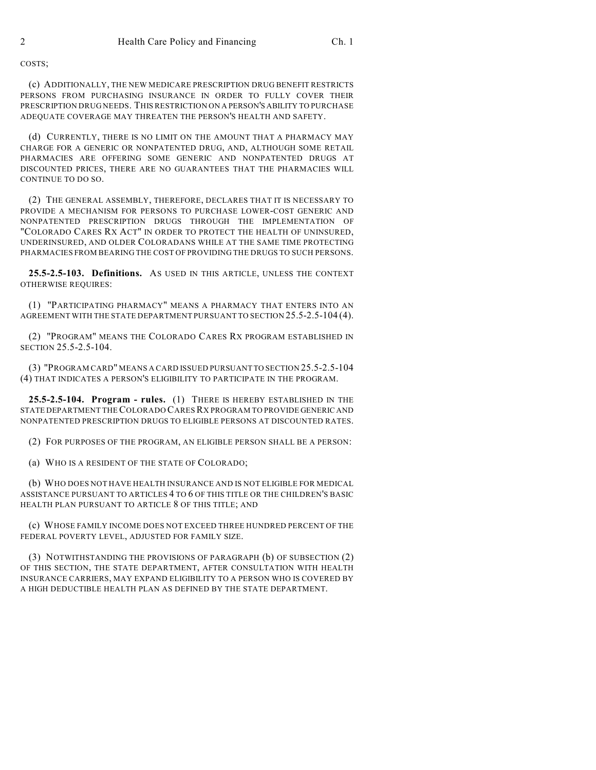COSTS;

(c) ADDITIONALLY, THE NEW MEDICARE PRESCRIPTION DRUG BENEFIT RESTRICTS PERSONS FROM PURCHASING INSURANCE IN ORDER TO FULLY COVER THEIR PRESCRIPTION DRUG NEEDS. THIS RESTRICTION ON A PERSON'S ABILITY TO PURCHASE ADEQUATE COVERAGE MAY THREATEN THE PERSON'S HEALTH AND SAFETY.

(d) CURRENTLY, THERE IS NO LIMIT ON THE AMOUNT THAT A PHARMACY MAY CHARGE FOR A GENERIC OR NONPATENTED DRUG, AND, ALTHOUGH SOME RETAIL PHARMACIES ARE OFFERING SOME GENERIC AND NONPATENTED DRUGS AT DISCOUNTED PRICES, THERE ARE NO GUARANTEES THAT THE PHARMACIES WILL CONTINUE TO DO SO.

(2) THE GENERAL ASSEMBLY, THEREFORE, DECLARES THAT IT IS NECESSARY TO PROVIDE A MECHANISM FOR PERSONS TO PURCHASE LOWER-COST GENERIC AND NONPATENTED PRESCRIPTION DRUGS THROUGH THE IMPLEMENTATION OF "COLORADO CARES RX ACT" IN ORDER TO PROTECT THE HEALTH OF UNINSURED, UNDERINSURED, AND OLDER COLORADANS WHILE AT THE SAME TIME PROTECTING PHARMACIES FROM BEARING THE COST OF PROVIDING THE DRUGS TO SUCH PERSONS.

**25.5-2.5-103. Definitions.** AS USED IN THIS ARTICLE, UNLESS THE CONTEXT OTHERWISE REQUIRES:

(1) "PARTICIPATING PHARMACY" MEANS A PHARMACY THAT ENTERS INTO AN AGREEMENT WITH THE STATE DEPARTMENT PURSUANT TO SECTION 25.5-2.5-104 (4).

(2) "PROGRAM" MEANS THE COLORADO CARES RX PROGRAM ESTABLISHED IN SECTION 25.5-2.5-104.

(3) "PROGRAM CARD" MEANS A CARD ISSUED PURSUANT TO SECTION 25.5-2.5-104 (4) THAT INDICATES A PERSON'S ELIGIBILITY TO PARTICIPATE IN THE PROGRAM.

**25.5-2.5-104. Program - rules.** (1) THERE IS HEREBY ESTABLISHED IN THE STATE DEPARTMENT THE COLORADO CARES RX PROGRAM TO PROVIDE GENERIC AND NONPATENTED PRESCRIPTION DRUGS TO ELIGIBLE PERSONS AT DISCOUNTED RATES.

(2) FOR PURPOSES OF THE PROGRAM, AN ELIGIBLE PERSON SHALL BE A PERSON:

(a) WHO IS A RESIDENT OF THE STATE OF COLORADO;

(b) WHO DOES NOT HAVE HEALTH INSURANCE AND IS NOT ELIGIBLE FOR MEDICAL ASSISTANCE PURSUANT TO ARTICLES 4 TO 6 OF THIS TITLE OR THE CHILDREN'S BASIC HEALTH PLAN PURSUANT TO ARTICLE 8 OF THIS TITLE; AND

(c) WHOSE FAMILY INCOME DOES NOT EXCEED THREE HUNDRED PERCENT OF THE FEDERAL POVERTY LEVEL, ADJUSTED FOR FAMILY SIZE.

(3) NOTWITHSTANDING THE PROVISIONS OF PARAGRAPH (b) OF SUBSECTION (2) OF THIS SECTION, THE STATE DEPARTMENT, AFTER CONSULTATION WITH HEALTH INSURANCE CARRIERS, MAY EXPAND ELIGIBILITY TO A PERSON WHO IS COVERED BY A HIGH DEDUCTIBLE HEALTH PLAN AS DEFINED BY THE STATE DEPARTMENT.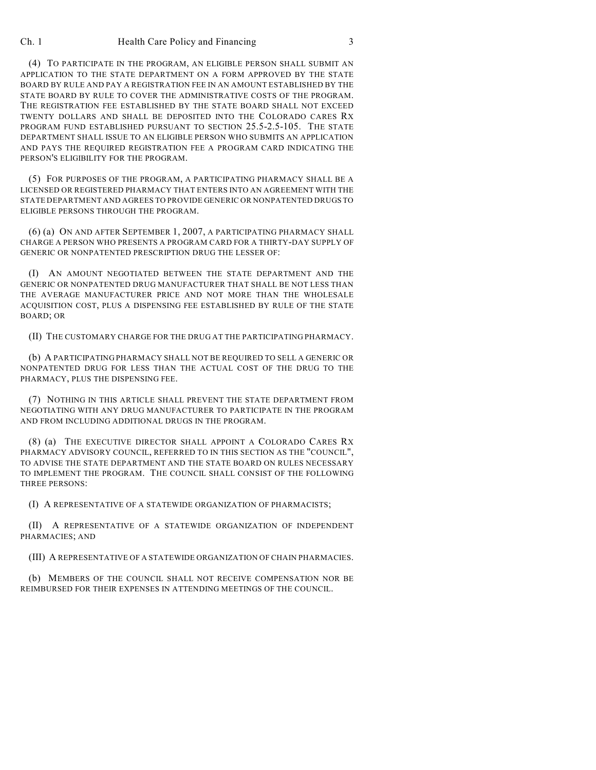Ch. 1 **Health Care Policy and Financing 3** 3

(4) TO PARTICIPATE IN THE PROGRAM, AN ELIGIBLE PERSON SHALL SUBMIT AN APPLICATION TO THE STATE DEPARTMENT ON A FORM APPROVED BY THE STATE BOARD BY RULE AND PAY A REGISTRATION FEE IN AN AMOUNT ESTABLISHED BY THE STATE BOARD BY RULE TO COVER THE ADMINISTRATIVE COSTS OF THE PROGRAM. THE REGISTRATION FEE ESTABLISHED BY THE STATE BOARD SHALL NOT EXCEED TWENTY DOLLARS AND SHALL BE DEPOSITED INTO THE COLORADO CARES RX PROGRAM FUND ESTABLISHED PURSUANT TO SECTION 25.5-2.5-105. THE STATE DEPARTMENT SHALL ISSUE TO AN ELIGIBLE PERSON WHO SUBMITS AN APPLICATION AND PAYS THE REQUIRED REGISTRATION FEE A PROGRAM CARD INDICATING THE PERSON'S ELIGIBILITY FOR THE PROGRAM.

(5) FOR PURPOSES OF THE PROGRAM, A PARTICIPATING PHARMACY SHALL BE A LICENSED OR REGISTERED PHARMACY THAT ENTERS INTO AN AGREEMENT WITH THE STATE DEPARTMENT AND AGREES TO PROVIDE GENERIC OR NONPATENTED DRUGS TO ELIGIBLE PERSONS THROUGH THE PROGRAM.

(6) (a) ON AND AFTER SEPTEMBER 1, 2007, A PARTICIPATING PHARMACY SHALL CHARGE A PERSON WHO PRESENTS A PROGRAM CARD FOR A THIRTY-DAY SUPPLY OF GENERIC OR NONPATENTED PRESCRIPTION DRUG THE LESSER OF:

(I) AN AMOUNT NEGOTIATED BETWEEN THE STATE DEPARTMENT AND THE GENERIC OR NONPATENTED DRUG MANUFACTURER THAT SHALL BE NOT LESS THAN THE AVERAGE MANUFACTURER PRICE AND NOT MORE THAN THE WHOLESALE ACQUISITION COST, PLUS A DISPENSING FEE ESTABLISHED BY RULE OF THE STATE BOARD; OR

(II) THE CUSTOMARY CHARGE FOR THE DRUG AT THE PARTICIPATING PHARMACY.

(b) A PARTICIPATING PHARMACY SHALL NOT BE REQUIRED TO SELL A GENERIC OR NONPATENTED DRUG FOR LESS THAN THE ACTUAL COST OF THE DRUG TO THE PHARMACY, PLUS THE DISPENSING FEE.

(7) NOTHING IN THIS ARTICLE SHALL PREVENT THE STATE DEPARTMENT FROM NEGOTIATING WITH ANY DRUG MANUFACTURER TO PARTICIPATE IN THE PROGRAM AND FROM INCLUDING ADDITIONAL DRUGS IN THE PROGRAM.

(8) (a) THE EXECUTIVE DIRECTOR SHALL APPOINT A COLORADO CARES RX PHARMACY ADVISORY COUNCIL, REFERRED TO IN THIS SECTION AS THE "COUNCIL", TO ADVISE THE STATE DEPARTMENT AND THE STATE BOARD ON RULES NECESSARY TO IMPLEMENT THE PROGRAM. THE COUNCIL SHALL CONSIST OF THE FOLLOWING THREE PERSONS:

(I) A REPRESENTATIVE OF A STATEWIDE ORGANIZATION OF PHARMACISTS;

(II) A REPRESENTATIVE OF A STATEWIDE ORGANIZATION OF INDEPENDENT PHARMACIES; AND

(III) A REPRESENTATIVE OF A STATEWIDE ORGANIZATION OF CHAIN PHARMACIES.

(b) MEMBERS OF THE COUNCIL SHALL NOT RECEIVE COMPENSATION NOR BE REIMBURSED FOR THEIR EXPENSES IN ATTENDING MEETINGS OF THE COUNCIL.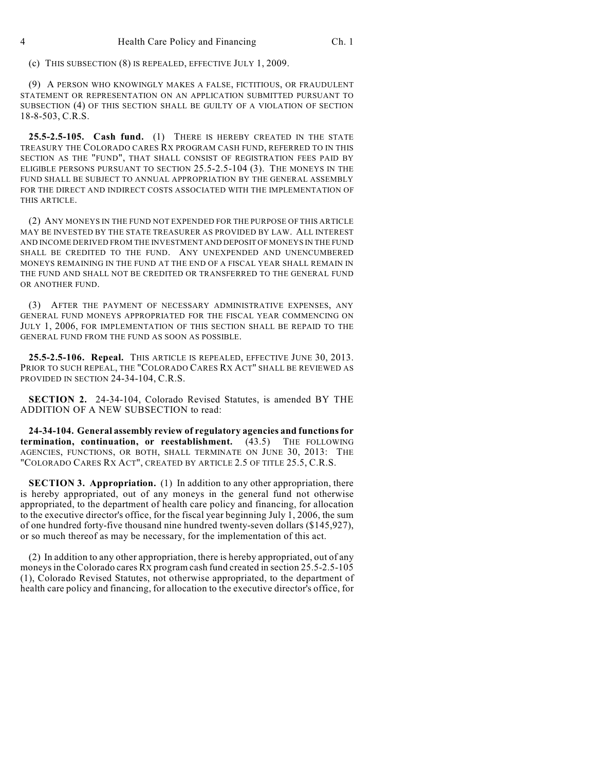(c) THIS SUBSECTION (8) IS REPEALED, EFFECTIVE JULY 1, 2009.

(9) A PERSON WHO KNOWINGLY MAKES A FALSE, FICTITIOUS, OR FRAUDULENT STATEMENT OR REPRESENTATION ON AN APPLICATION SUBMITTED PURSUANT TO SUBSECTION (4) OF THIS SECTION SHALL BE GUILTY OF A VIOLATION OF SECTION 18-8-503, C.R.S.

**25.5-2.5-105. Cash fund.** (1) THERE IS HEREBY CREATED IN THE STATE TREASURY THE COLORADO CARES RX PROGRAM CASH FUND, REFERRED TO IN THIS SECTION AS THE "FUND", THAT SHALL CONSIST OF REGISTRATION FEES PAID BY ELIGIBLE PERSONS PURSUANT TO SECTION 25.5-2.5-104 (3). THE MONEYS IN THE FUND SHALL BE SUBJECT TO ANNUAL APPROPRIATION BY THE GENERAL ASSEMBLY FOR THE DIRECT AND INDIRECT COSTS ASSOCIATED WITH THE IMPLEMENTATION OF THIS ARTICLE.

(2) ANY MONEYS IN THE FUND NOT EXPENDED FOR THE PURPOSE OF THIS ARTICLE MAY BE INVESTED BY THE STATE TREASURER AS PROVIDED BY LAW. ALL INTEREST AND INCOME DERIVED FROM THE INVESTMENT AND DEPOSIT OF MONEYS IN THE FUND SHALL BE CREDITED TO THE FUND. ANY UNEXPENDED AND UNENCUMBERED MONEYS REMAINING IN THE FUND AT THE END OF A FISCAL YEAR SHALL REMAIN IN THE FUND AND SHALL NOT BE CREDITED OR TRANSFERRED TO THE GENERAL FUND OR ANOTHER FUND.

(3) AFTER THE PAYMENT OF NECESSARY ADMINISTRATIVE EXPENSES, ANY GENERAL FUND MONEYS APPROPRIATED FOR THE FISCAL YEAR COMMENCING ON JULY 1, 2006, FOR IMPLEMENTATION OF THIS SECTION SHALL BE REPAID TO THE GENERAL FUND FROM THE FUND AS SOON AS POSSIBLE.

**25.5-2.5-106. Repeal.** THIS ARTICLE IS REPEALED, EFFECTIVE JUNE 30, 2013. PRIOR TO SUCH REPEAL, THE "COLORADO CARES RX ACT" SHALL BE REVIEWED AS PROVIDED IN SECTION 24-34-104, C.R.S.

**SECTION 2.** 24-34-104, Colorado Revised Statutes, is amended BY THE ADDITION OF A NEW SUBSECTION to read:

**24-34-104. General assembly review of regulatory agencies and functions for termination, continuation, or reestablishment.** (43.5) THE FOLLOWING AGENCIES, FUNCTIONS, OR BOTH, SHALL TERMINATE ON JUNE 30, 2013: THE "COLORADO CARES RX ACT", CREATED BY ARTICLE 2.5 OF TITLE 25.5, C.R.S.

**SECTION 3. Appropriation.** (1) In addition to any other appropriation, there is hereby appropriated, out of any moneys in the general fund not otherwise appropriated, to the department of health care policy and financing, for allocation to the executive director's office, for the fiscal year beginning July 1, 2006, the sum of one hundred forty-five thousand nine hundred twenty-seven dollars (\$145,927), or so much thereof as may be necessary, for the implementation of this act.

(2) In addition to any other appropriation, there is hereby appropriated, out of any moneys in the Colorado cares RX program cash fund created in section 25.5-2.5-105 (1), Colorado Revised Statutes, not otherwise appropriated, to the department of health care policy and financing, for allocation to the executive director's office, for